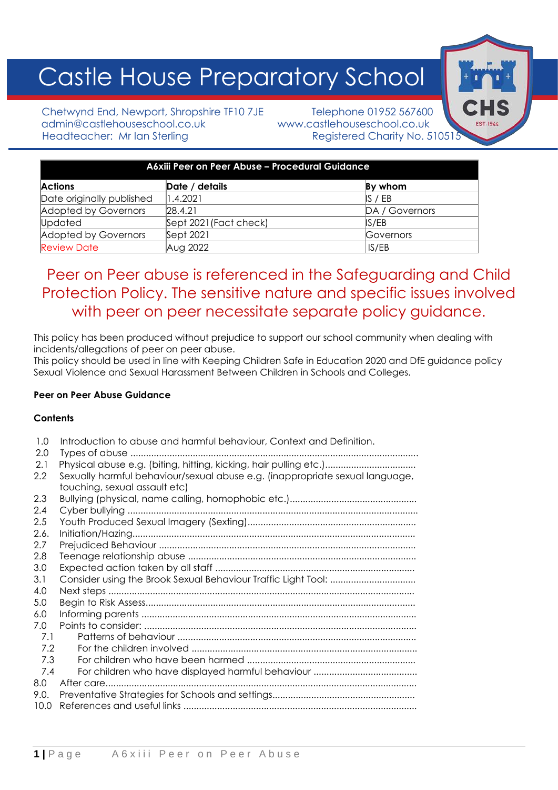# Castle House Preparatory School

Chetwynd End, Newport, Shropshire TF10 7JE Telephone 01952 567600 admin@castlehouseschool.co.uk www.castlehouseschool.co.uk Headteacher: Mr Ian Sterling Registered Charity No. 510515

| A6xiii Peer on Peer Abuse - Procedural Guidance |                        |                |  |
|-------------------------------------------------|------------------------|----------------|--|
| <b>Actions</b>                                  | Date / details         | By whom        |  |
| Date originally published                       | 1.4.2021               | IS / EB        |  |
| Adopted by Governors                            | [28.4.2]               | DA / Governors |  |
| Updated                                         | Sept 2021 (Fact check) | IS/EB          |  |
| Adopted by Governors                            | Sept 2021              | Governors      |  |
| <b>Review Date</b>                              | Aug 2022               | IS/EB          |  |

# Peer on Peer abuse is referenced in the Safeguarding and Child Protection Policy. The sensitive nature and specific issues involved with peer on peer necessitate separate policy guidance.

This policy has been produced without prejudice to support our school community when dealing with incidents/allegations of peer on peer abuse.

This policy should be used in line with Keeping Children Safe in Education 2020 and DfE guidance policy Sexual Violence and Sexual Harassment Between Children in Schools and Colleges.

# **Peer on Peer Abuse Guidance**

# **Contents**

| 2.0<br>Types of abuse<br>2.1                                                        |  |
|-------------------------------------------------------------------------------------|--|
|                                                                                     |  |
|                                                                                     |  |
| Sexually harmful behaviour/sexual abuse e.g. (inappropriate sexual language,<br>2.2 |  |
| touching, sexual assault etc)                                                       |  |
| 2.3                                                                                 |  |
| 2.4                                                                                 |  |
| 2.5                                                                                 |  |
| 2.6.                                                                                |  |
| 2.7                                                                                 |  |
| 2.8                                                                                 |  |
| 3.0                                                                                 |  |
| 3.1                                                                                 |  |
| 4.0                                                                                 |  |
| 5.0                                                                                 |  |
| 6.0                                                                                 |  |
| 7.0                                                                                 |  |
| 7.1                                                                                 |  |
| 7.2                                                                                 |  |
| 7.3                                                                                 |  |
| 7.4                                                                                 |  |
| 8.0<br>After care                                                                   |  |
| 9.0.                                                                                |  |
| 10.0                                                                                |  |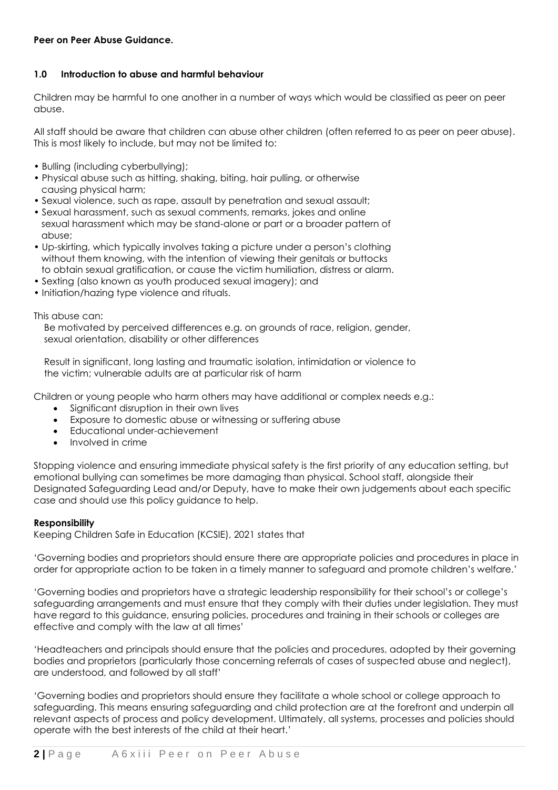#### **1.0 Introduction to abuse and harmful behaviour**

Children may be harmful to one another in a number of ways which would be classified as peer on peer abuse.

All staff should be aware that children can abuse other children (often referred to as peer on peer abuse). This is most likely to include, but may not be limited to:

- Bulling (including cyberbullying);
- Physical abuse such as hitting, shaking, biting, hair pulling, or otherwise causing physical harm;
- Sexual violence, such as rape, assault by penetration and sexual assault; • Sexual harassment, such as sexual comments, remarks, jokes and online sexual harassment which may be stand-alone or part or a broader pattern of
- abuse; • Up-skirting, which typically involves taking a picture under a person's clothing
- without them knowing, with the intention of viewing their genitals or buttocks to obtain sexual gratification, or cause the victim humiliation, distress or alarm.
- Sexting (also known as youth produced sexual imagery); and
- Initiation/hazing type violence and rituals.

This abuse can:

 Be motivated by perceived differences e.g. on grounds of race, religion, gender, sexual orientation, disability or other differences

 Result in significant, long lasting and traumatic isolation, intimidation or violence to the victim; vulnerable adults are at particular risk of harm

Children or young people who harm others may have additional or complex needs e.g.:

- Significant disruption in their own lives
- Exposure to domestic abuse or witnessing or suffering abuse
- Educational under-achievement
- Involved in crime

Stopping violence and ensuring immediate physical safety is the first priority of any education setting, but emotional bullying can sometimes be more damaging than physical. School staff, alongside their Designated Safeguarding Lead and/or Deputy, have to make their own judgements about each specific case and should use this policy guidance to help.

#### **Responsibility**

Keeping Children Safe in Education (KCSIE), 2021 states that

'Governing bodies and proprietors should ensure there are appropriate policies and procedures in place in order for appropriate action to be taken in a timely manner to safeguard and promote children's welfare.'

'Governing bodies and proprietors have a strategic leadership responsibility for their school's or college's safeguarding arrangements and must ensure that they comply with their duties under legislation. They must have regard to this guidance, ensuring policies, procedures and training in their schools or colleges are effective and comply with the law at all times'

'Headteachers and principals should ensure that the policies and procedures, adopted by their governing bodies and proprietors (particularly those concerning referrals of cases of suspected abuse and neglect), are understood, and followed by all staff'

'Governing bodies and proprietors should ensure they facilitate a whole school or college approach to safeguarding. This means ensuring safeguarding and child protection are at the forefront and underpin all relevant aspects of process and policy development. Ultimately, all systems, processes and policies should operate with the best interests of the child at their heart.'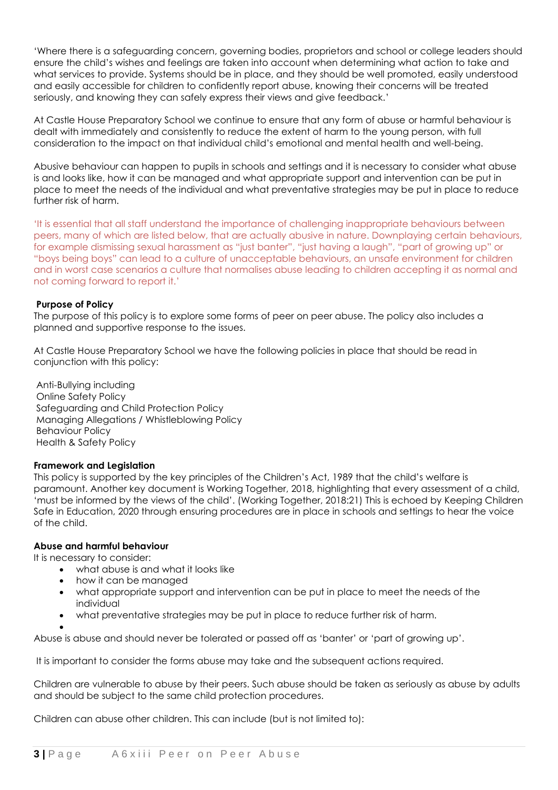'Where there is a safeguarding concern, governing bodies, proprietors and school or college leaders should ensure the child's wishes and feelings are taken into account when determining what action to take and what services to provide. Systems should be in place, and they should be well promoted, easily understood and easily accessible for children to confidently report abuse, knowing their concerns will be treated seriously, and knowing they can safely express their views and give feedback.'

At Castle House Preparatory School we continue to ensure that any form of abuse or harmful behaviour is dealt with immediately and consistently to reduce the extent of harm to the young person, with full consideration to the impact on that individual child's emotional and mental health and well-being.

Abusive behaviour can happen to pupils in schools and settings and it is necessary to consider what abuse is and looks like, how it can be managed and what appropriate support and intervention can be put in place to meet the needs of the individual and what preventative strategies may be put in place to reduce further risk of harm.

'It is essential that all staff understand the importance of challenging inappropriate behaviours between peers, many of which are listed below, that are actually abusive in nature. Downplaying certain behaviours, for example dismissing sexual harassment as "just banter", "just having a laugh", "part of growing up" or "boys being boys" can lead to a culture of unacceptable behaviours, an unsafe environment for children and in worst case scenarios a culture that normalises abuse leading to children accepting it as normal and not coming forward to report it.'

#### **Purpose of Policy**

The purpose of this policy is to explore some forms of peer on peer abuse. The policy also includes a planned and supportive response to the issues.

At Castle House Preparatory School we have the following policies in place that should be read in conjunction with this policy:

Anti-Bullying including Online Safety Policy Safeguarding and Child Protection Policy Managing Allegations / Whistleblowing Policy Behaviour Policy Health & Safety Policy

#### **Framework and Legislation**

This policy is supported by the key principles of the Children's Act, 1989 that the child's welfare is paramount. Another key document is Working Together, 2018, highlighting that every assessment of a child, 'must be informed by the views of the child'. (Working Together, 2018:21) This is echoed by Keeping Children Safe in Education, 2020 through ensuring procedures are in place in schools and settings to hear the voice of the child.

# **Abuse and harmful behaviour**

It is necessary to consider:

•

- what abuse is and what it looks like
- how it can be managed
- what appropriate support and intervention can be put in place to meet the needs of the individual
- what preventative strategies may be put in place to reduce further risk of harm.

Abuse is abuse and should never be tolerated or passed off as 'banter' or 'part of growing up'.

It is important to consider the forms abuse may take and the subsequent actions required.

Children are vulnerable to abuse by their peers. Such abuse should be taken as seriously as abuse by adults and should be subject to the same child protection procedures.

Children can abuse other children. This can include (but is not limited to):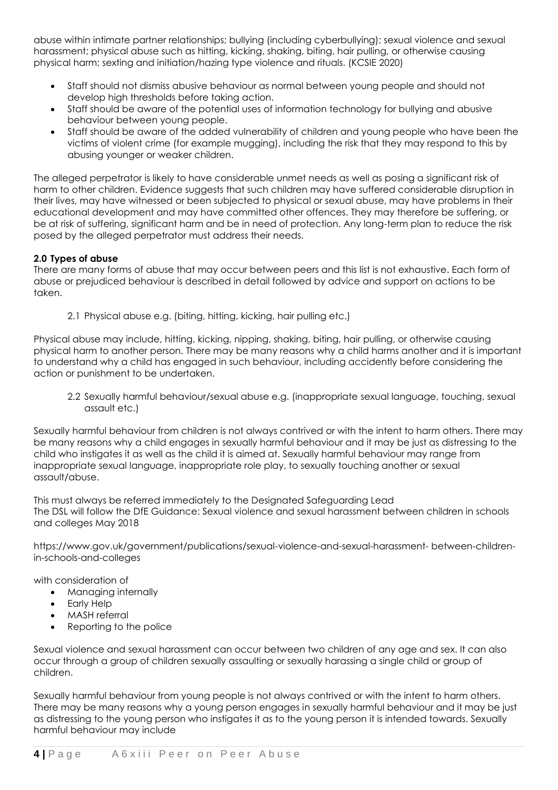abuse within intimate partner relationships; bullying (including cyberbullying); sexual violence and sexual harassment; physical abuse such as hitting, kicking, shaking, biting, hair pulling, or otherwise causing physical harm; sexting and initiation/hazing type violence and rituals. (KCSIE 2020)

- Staff should not dismiss abusive behaviour as normal between young people and should not develop high thresholds before taking action.
- Staff should be aware of the potential uses of information technology for bullying and abusive behaviour between young people.
- Staff should be aware of the added vulnerability of children and young people who have been the victims of violent crime (for example mugging), including the risk that they may respond to this by abusing younger or weaker children.

The alleged perpetrator is likely to have considerable unmet needs as well as posing a significant risk of harm to other children. Evidence suggests that such children may have suffered considerable disruption in their lives, may have witnessed or been subjected to physical or sexual abuse, may have problems in their educational development and may have committed other offences. They may therefore be suffering, or be at risk of suffering, significant harm and be in need of protection. Any long-term plan to reduce the risk posed by the alleged perpetrator must address their needs.

# **2.0 Types of abuse**

There are many forms of abuse that may occur between peers and this list is not exhaustive. Each form of abuse or prejudiced behaviour is described in detail followed by advice and support on actions to be taken.

2.1 Physical abuse e.g. (biting, hitting, kicking, hair pulling etc.)

Physical abuse may include, hitting, kicking, nipping, shaking, biting, hair pulling, or otherwise causing physical harm to another person. There may be many reasons why a child harms another and it is important to understand why a child has engaged in such behaviour, including accidently before considering the action or punishment to be undertaken.

2.2 Sexually harmful behaviour/sexual abuse e.g. (inappropriate sexual language, touching, sexual assault etc.)

Sexually harmful behaviour from children is not always contrived or with the intent to harm others. There may be many reasons why a child engages in sexually harmful behaviour and it may be just as distressing to the child who instigates it as well as the child it is aimed at. Sexually harmful behaviour may range from inappropriate sexual language, inappropriate role play, to sexually touching another or sexual assault/abuse.

This must always be referred immediately to the Designated Safeguarding Lead The DSL will follow the DfE Guidance: Sexual violence and sexual harassment between children in schools and colleges May 2018

https://www.gov.uk/government/publications/sexual-violence-and-sexual-harassment- between-childrenin-schools-and-colleges

with consideration of

- Managing internally
- Early Help
- MASH referral
- Reporting to the police

Sexual violence and sexual harassment can occur between two children of any age and sex. It can also occur through a group of children sexually assaulting or sexually harassing a single child or group of children.

Sexually harmful behaviour from young people is not always contrived or with the intent to harm others. There may be many reasons why a young person engages in sexually harmful behaviour and it may be just as distressing to the young person who instigates it as to the young person it is intended towards. Sexually harmful behaviour may include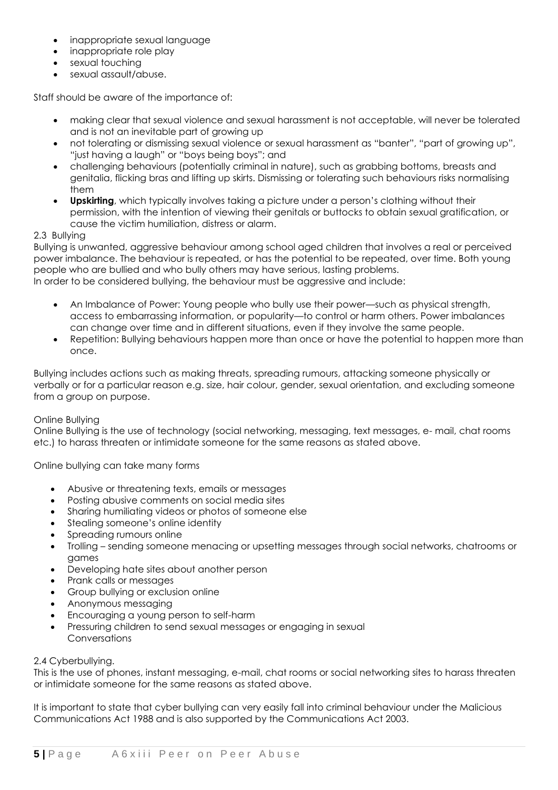- inappropriate sexual language
- inappropriate role play
- sexual touching
- sexual assault/abuse.

Staff should be aware of the importance of:

- making clear that sexual violence and sexual harassment is not acceptable, will never be tolerated and is not an inevitable part of growing up
- not tolerating or dismissing sexual violence or sexual harassment as "banter", "part of growing up", "just having a laugh" or "boys being boys"; and
- challenging behaviours (potentially criminal in nature), such as grabbing bottoms, breasts and genitalia, flicking bras and lifting up skirts. Dismissing or tolerating such behaviours risks normalising them
- **Upskirting**, which typically involves taking a picture under a person's clothing without their permission, with the intention of viewing their genitals or buttocks to obtain sexual gratification, or cause the victim humiliation, distress or alarm.

# 2.3 Bullying

Bullying is unwanted, aggressive behaviour among school aged children that involves a real or perceived power imbalance. The behaviour is repeated, or has the potential to be repeated, over time. Both young people who are bullied and who bully others may have serious, lasting problems. In order to be considered bullying, the behaviour must be aggressive and include:

- An Imbalance of Power: Young people who bully use their power—such as physical strength, access to embarrassing information, or popularity—to control or harm others. Power imbalances can change over time and in different situations, even if they involve the same people.
- Repetition: Bullying behaviours happen more than once or have the potential to happen more than once.

Bullying includes actions such as making threats, spreading rumours, attacking someone physically or verbally or for a particular reason e.g. size, hair colour, gender, sexual orientation, and excluding someone from a group on purpose.

# Online Bullying

Online Bullying is the use of technology (social networking, messaging, text messages, e- mail, chat rooms etc.) to harass threaten or intimidate someone for the same reasons as stated above.

Online bullying can take many forms

- Abusive or threatening texts, emails or messages
- Posting abusive comments on social media sites
- Sharing humiliating videos or photos of someone else
- Stealing someone's online identity
- Spreading rumours online
- Trolling sending someone menacing or upsetting messages through social networks, chatrooms or games
- Developing hate sites about another person
- Prank calls or messages
- Group bullying or exclusion online
- Anonymous messaging
- Encouraging a young person to self-harm
- Pressuring children to send sexual messages or engaging in sexual Conversations

#### 2.4 Cyberbullying.

This is the use of phones, instant messaging, e-mail, chat rooms or social networking sites to harass threaten or intimidate someone for the same reasons as stated above.

It is important to state that cyber bullying can very easily fall into criminal behaviour under the Malicious Communications Act 1988 and is also supported by the Communications Act 2003.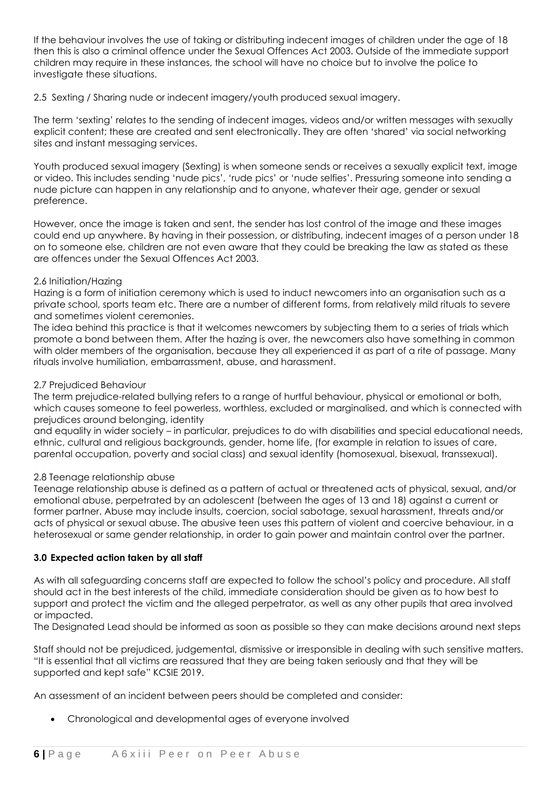If the behaviour involves the use of taking or distributing indecent images of children under the age of 18 then this is also a criminal offence under the Sexual Offences Act 2003. Outside of the immediate support children may require in these instances, the school will have no choice but to involve the police to investigate these situations.

2.5 Sexting / Sharing nude or indecent imagery/youth produced sexual imagery.

The term 'sexting' relates to the sending of indecent images, videos and/or written messages with sexually explicit content; these are created and sent electronically. They are often 'shared' via social networking sites and instant messaging services.

Youth produced sexual imagery (Sexting) is when someone sends or receives a sexually explicit text, image or video. This includes sending 'nude pics', 'rude pics' or 'nude selfies'. Pressuring someone into sending a nude picture can happen in any relationship and to anyone, whatever their age, gender or sexual preference.

However, once the image is taken and sent, the sender has lost control of the image and these images could end up anywhere. By having in their possession, or distributing, indecent images of a person under 18 on to someone else, children are not even aware that they could be breaking the law as stated as these are offences under the Sexual Offences Act 2003.

#### 2.6 Initiation/Hazing

Hazing is a form of initiation ceremony which is used to induct newcomers into an organisation such as a private school, sports team etc. There are a number of different forms, from relatively mild rituals to severe and sometimes violent ceremonies.

The idea behind this practice is that it welcomes newcomers by subjecting them to a series of trials which promote a bond between them. After the hazing is over, the newcomers also have something in common with older members of the organisation, because they all experienced it as part of a rite of passage. Many rituals involve humiliation, embarrassment, abuse, and harassment.

#### 2.7 Prejudiced Behaviour

The term prejudice-related bullying refers to a range of hurtful behaviour, physical or emotional or both, which causes someone to feel powerless, worthless, excluded or marginalised, and which is connected with prejudices around belonging, identity

and equality in wider society – in particular, prejudices to do with disabilities and special educational needs, ethnic, cultural and religious backgrounds, gender, home life, (for example in relation to issues of care, parental occupation, poverty and social class) and sexual identity (homosexual, bisexual, transsexual).

#### 2.8 Teenage relationship abuse

Teenage relationship abuse is defined as a pattern of actual or threatened acts of physical, sexual, and/or emotional abuse, perpetrated by an adolescent (between the ages of 13 and 18) against a current or former partner. Abuse may include insults, coercion, social sabotage, sexual harassment, threats and/or acts of physical or sexual abuse. The abusive teen uses this pattern of violent and coercive behaviour, in a heterosexual or same gender relationship, in order to gain power and maintain control over the partner.

# **3.0 Expected action taken by all staff**

As with all safeguarding concerns staff are expected to follow the school's policy and procedure. All staff should act in the best interests of the child, immediate consideration should be given as to how best to support and protect the victim and the alleged perpetrator, as well as any other pupils that area involved or impacted.

The Designated Lead should be informed as soon as possible so they can make decisions around next steps

Staff should not be prejudiced, judgemental, dismissive or irresponsible in dealing with such sensitive matters. "It is essential that all victims are reassured that they are being taken seriously and that they will be supported and kept safe" KCSIE 2019.

An assessment of an incident between peers should be completed and consider:

• Chronological and developmental ages of everyone involved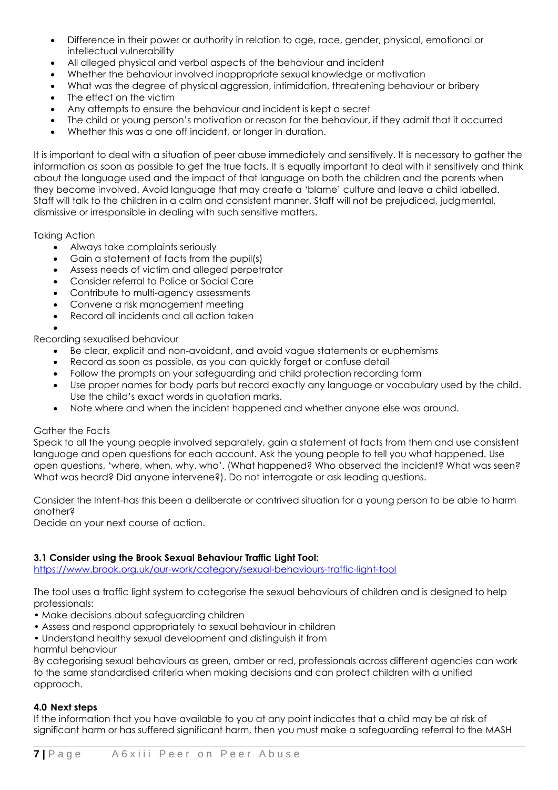- Difference in their power or authority in relation to age, race, gender, physical, emotional or intellectual vulnerability
- All alleged physical and verbal aspects of the behaviour and incident
- Whether the behaviour involved inappropriate sexual knowledge or motivation
- What was the degree of physical aggression, intimidation, threatening behaviour or bribery
- The effect on the victim
- Any attempts to ensure the behaviour and incident is kept a secret
- The child or young person's motivation or reason for the behaviour, if they admit that it occurred
- Whether this was a one off incident, or longer in duration.

It is important to deal with a situation of peer abuse immediately and sensitively. It is necessary to gather the information as soon as possible to get the true facts. It is equally important to deal with it sensitively and think about the language used and the impact of that language on both the children and the parents when they become involved. Avoid language that may create a 'blame' culture and leave a child labelled. Staff will talk to the children in a calm and consistent manner. Staff will not be prejudiced, judgmental, dismissive or irresponsible in dealing with such sensitive matters.

Taking Action

- Always take complaints seriously
- Gain a statement of facts from the pupil(s)
- Assess needs of victim and alleged perpetrator
- Consider referral to Police or Social Care
- Contribute to multi-agency assessments
- Convene a risk management meeting
- Record all incidents and all action taken

• Recording sexualised behaviour

- Be clear, explicit and non-avoidant, and avoid vague statements or euphemisms
- Record as soon as possible, as you can quickly forget or confuse detail
- Follow the prompts on your safeguarding and child protection recording form
- Use proper names for body parts but record exactly any language or vocabulary used by the child. Use the child's exact words in quotation marks.
- Note where and when the incident happened and whether anyone else was around.

#### Gather the Facts

Speak to all the young people involved separately, gain a statement of facts from them and use consistent language and open questions for each account. Ask the young people to tell you what happened. Use open questions, 'where, when, why, who'. (What happened? Who observed the incident? What was seen? What was heard? Did anyone intervene?). Do not interrogate or ask leading questions.

Consider the Intent-has this been a deliberate or contrived situation for a young person to be able to harm another?

Decide on your next course of action.

# **3.1 Consider using the Brook Sexual Behaviour Traffic Light Tool:**

<https://www.brook.org.uk/our-work/category/sexual-behaviours-traffic-light-tool>

The tool uses a traffic light system to categorise the sexual behaviours of children and is designed to help professionals:

- Make decisions about safeguarding children
- Assess and respond appropriately to sexual behaviour in children
- Understand healthy sexual development and distinguish it from harmful behaviour

By categorising sexual behaviours as green, amber or red, professionals across different agencies can work to the same standardised criteria when making decisions and can protect children with a unified approach.

# **4.0 Next steps**

If the information that you have available to you at any point indicates that a child may be at risk of significant harm or has suffered significant harm, then you must make a safeguarding referral to the MASH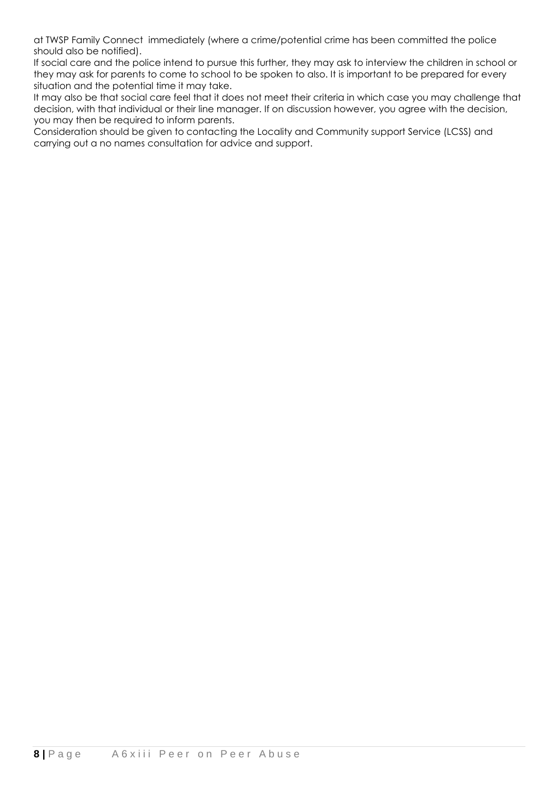at TWSP Family Connect immediately (where a crime/potential crime has been committed the police should also be notified).

If social care and the police intend to pursue this further, they may ask to interview the children in school or they may ask for parents to come to school to be spoken to also. It is important to be prepared for every situation and the potential time it may take.

It may also be that social care feel that it does not meet their criteria in which case you may challenge that decision, with that individual or their line manager. If on discussion however, you agree with the decision, you may then be required to inform parents.

Consideration should be given to contacting the Locality and Community support Service (LCSS) and carrying out a no names consultation for advice and support.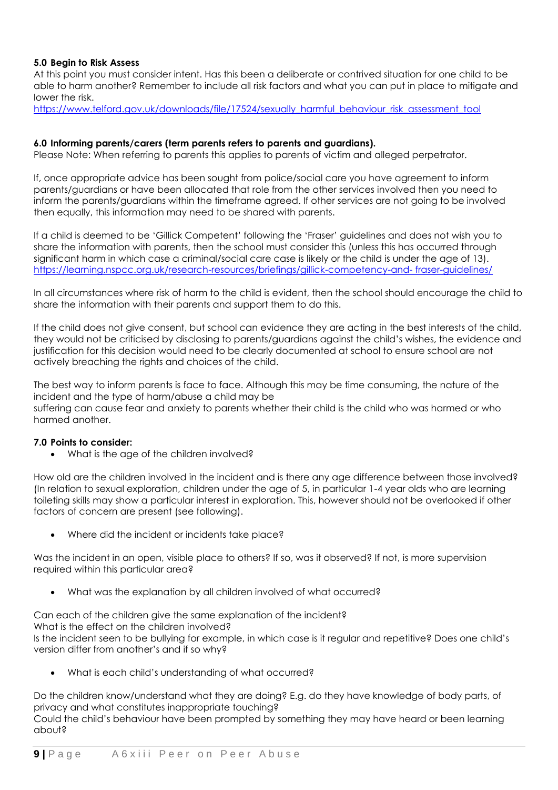# **5.0 Begin to Risk Assess**

At this point you must consider intent. Has this been a deliberate or contrived situation for one child to be able to harm another? Remember to include all risk factors and what you can put in place to mitigate and lower the risk.

[https://www.telford.gov.uk/downloads/file/17524/sexually\\_harmful\\_behaviour\\_risk\\_assessment\\_tool](https://www.telford.gov.uk/downloads/file/17524/sexually_harmful_behaviour_risk_assessment_tool)

#### **6.0 Informing parents/carers (term parents refers to parents and guardians).**

Please Note: When referring to parents this applies to parents of victim and alleged perpetrator.

If, once appropriate advice has been sought from police/social care you have agreement to inform parents/guardians or have been allocated that role from the other services involved then you need to inform the parents/guardians within the timeframe agreed. If other services are not going to be involved then equally, this information may need to be shared with parents.

If a child is deemed to be 'Gillick Competent' following the 'Fraser' guidelines and does not wish you to share the information with parents, then the school must consider this (unless this has occurred through significant harm in which case a criminal/social care case is likely or the child is under the age of 13). [https://learning.nspcc.org.uk/research-resources/briefings/gillick-competency-and-](https://learning.nspcc.org.uk/research-resources/briefings/gillick-competency-and-%20fraser-guidelines/) fraser-guidelines/

In all circumstances where risk of harm to the child is evident, then the school should encourage the child to share the information with their parents and support them to do this.

If the child does not give consent, but school can evidence they are acting in the best interests of the child, they would not be criticised by disclosing to parents/guardians against the child's wishes, the evidence and justification for this decision would need to be clearly documented at school to ensure school are not actively breaching the rights and choices of the child.

The best way to inform parents is face to face. Although this may be time consuming, the nature of the incident and the type of harm/abuse a child may be suffering can cause fear and anxiety to parents whether their child is the child who was harmed or who harmed another.

#### **7.0 Points to consider:**

• What is the age of the children involved?

How old are the children involved in the incident and is there any age difference between those involved? (In relation to sexual exploration, children under the age of 5, in particular 1-4 year olds who are learning toileting skills may show a particular interest in exploration. This, however should not be overlooked if other factors of concern are present (see following).

• Where did the incident or incidents take place?

Was the incident in an open, visible place to others? If so, was it observed? If not, is more supervision required within this particular area?

• What was the explanation by all children involved of what occurred?

Can each of the children give the same explanation of the incident?

What is the effect on the children involved?

Is the incident seen to be bullying for example, in which case is it regular and repetitive? Does one child's version differ from another's and if so why?

• What is each child's understanding of what occurred?

Do the children know/understand what they are doing? E.g. do they have knowledge of body parts, of privacy and what constitutes inappropriate touching?

Could the child's behaviour have been prompted by something they may have heard or been learning about?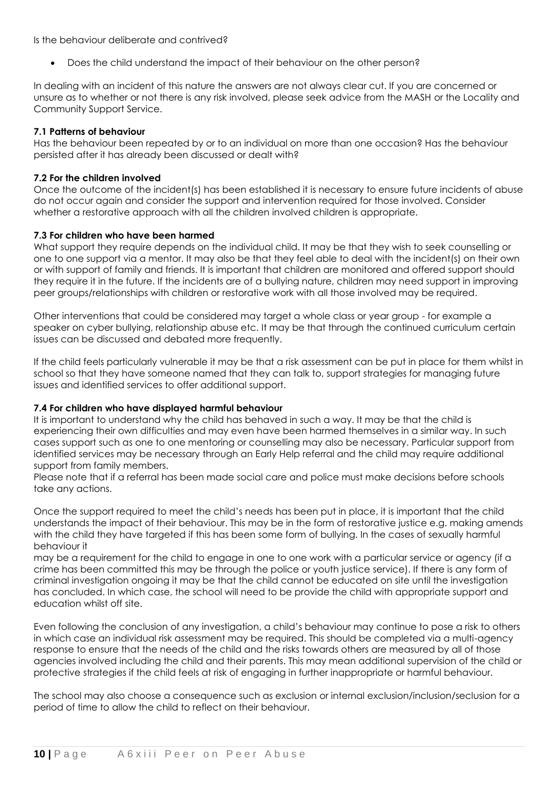Is the behaviour deliberate and contrived?

• Does the child understand the impact of their behaviour on the other person?

In dealing with an incident of this nature the answers are not always clear cut. If you are concerned or unsure as to whether or not there is any risk involved, please seek advice from the MASH or the Locality and Community Support Service.

#### **7.1 Patterns of behaviour**

Has the behaviour been repeated by or to an individual on more than one occasion? Has the behaviour persisted after it has already been discussed or dealt with?

### **7.2 For the children involved**

Once the outcome of the incident(s) has been established it is necessary to ensure future incidents of abuse do not occur again and consider the support and intervention required for those involved. Consider whether a restorative approach with all the children involved children is appropriate.

#### **7.3 For children who have been harmed**

What support they require depends on the individual child. It may be that they wish to seek counselling or one to one support via a mentor. It may also be that they feel able to deal with the incident(s) on their own or with support of family and friends. It is important that children are monitored and offered support should they require it in the future. If the incidents are of a bullying nature, children may need support in improving peer groups/relationships with children or restorative work with all those involved may be required.

Other interventions that could be considered may target a whole class or year group - for example a speaker on cyber bullying, relationship abuse etc. It may be that through the continued curriculum certain issues can be discussed and debated more frequently.

If the child feels particularly vulnerable it may be that a risk assessment can be put in place for them whilst in school so that they have someone named that they can talk to, support strategies for managing future issues and identified services to offer additional support.

# **7.4 For children who have displayed harmful behaviour**

It is important to understand why the child has behaved in such a way. It may be that the child is experiencing their own difficulties and may even have been harmed themselves in a similar way. In such cases support such as one to one mentoring or counselling may also be necessary. Particular support from identified services may be necessary through an Early Help referral and the child may require additional support from family members.

Please note that if a referral has been made social care and police must make decisions before schools take any actions.

Once the support required to meet the child's needs has been put in place, it is important that the child understands the impact of their behaviour. This may be in the form of restorative justice e.g. making amends with the child they have targeted if this has been some form of bullying. In the cases of sexually harmful behaviour it

may be a requirement for the child to engage in one to one work with a particular service or agency (if a crime has been committed this may be through the police or youth justice service). If there is any form of criminal investigation ongoing it may be that the child cannot be educated on site until the investigation has concluded. In which case, the school will need to be provide the child with appropriate support and education whilst off site.

Even following the conclusion of any investigation, a child's behaviour may continue to pose a risk to others in which case an individual risk assessment may be required. This should be completed via a multi-agency response to ensure that the needs of the child and the risks towards others are measured by all of those agencies involved including the child and their parents. This may mean additional supervision of the child or protective strategies if the child feels at risk of engaging in further inappropriate or harmful behaviour.

The school may also choose a consequence such as exclusion or internal exclusion/inclusion/seclusion for a period of time to allow the child to reflect on their behaviour.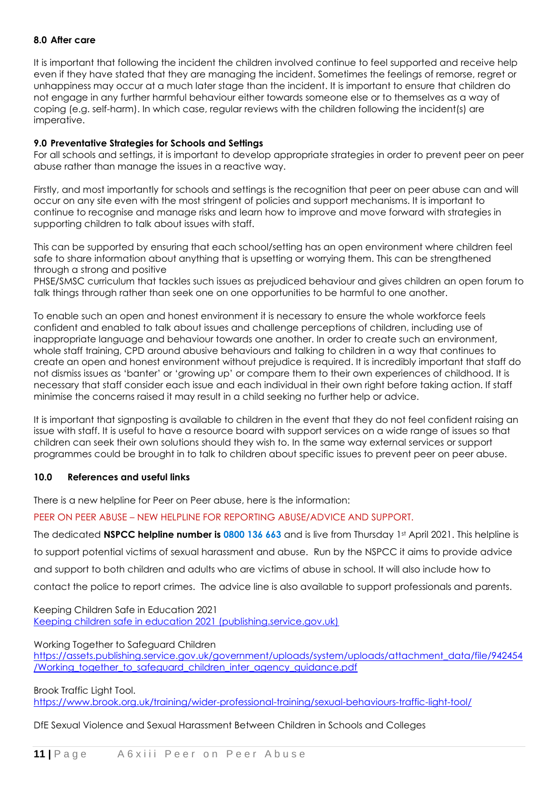#### **8.0 After care**

It is important that following the incident the children involved continue to feel supported and receive help even if they have stated that they are managing the incident. Sometimes the feelings of remorse, regret or unhappiness may occur at a much later stage than the incident. It is important to ensure that children do not engage in any further harmful behaviour either towards someone else or to themselves as a way of coping (e.g. self-harm). In which case, regular reviews with the children following the incident(s) are imperative.

#### **9.0 Preventative Strategies for Schools and Settings**

For all schools and settings, it is important to develop appropriate strategies in order to prevent peer on peer abuse rather than manage the issues in a reactive way.

Firstly, and most importantly for schools and settings is the recognition that peer on peer abuse can and will occur on any site even with the most stringent of policies and support mechanisms. It is important to continue to recognise and manage risks and learn how to improve and move forward with strategies in supporting children to talk about issues with staff.

This can be supported by ensuring that each school/setting has an open environment where children feel safe to share information about anything that is upsetting or worrying them. This can be strengthened through a strong and positive

PHSE/SMSC curriculum that tackles such issues as prejudiced behaviour and gives children an open forum to talk things through rather than seek one on one opportunities to be harmful to one another.

To enable such an open and honest environment it is necessary to ensure the whole workforce feels confident and enabled to talk about issues and challenge perceptions of children, including use of inappropriate language and behaviour towards one another. In order to create such an environment, whole staff training, CPD around abusive behaviours and talking to children in a way that continues to create an open and honest environment without prejudice is required. It is incredibly important that staff do not dismiss issues as 'banter' or 'growing up' or compare them to their own experiences of childhood. It is necessary that staff consider each issue and each individual in their own right before taking action. If staff minimise the concerns raised it may result in a child seeking no further help or advice.

It is important that signposting is available to children in the event that they do not feel confident raising an issue with staff. It is useful to have a resource board with support services on a wide range of issues so that children can seek their own solutions should they wish to. In the same way external services or support programmes could be brought in to talk to children about specific issues to prevent peer on peer abuse.

#### **10.0 References and useful links**

There is a new helpline for Peer on Peer abuse, here is the information:

PEER ON PEER ABUSE – NEW HELPLINE FOR REPORTING ABUSE/ADVICE AND SUPPORT.

The dedicated **NSPCC helpline number is 0800 136 663** and is live from Thursday 1st April 2021. This helpline is to support potential victims of sexual harassment and abuse. Run by the NSPCC it aims to provide advice and support to both children and adults who are victims of abuse in school. It will also include how to contact the police to report crimes. The advice line is also available to support professionals and parents.

Keeping Children Safe in Education 2021 [Keeping children safe in education 2021 \(publishing.service.gov.uk\)](https://assets.publishing.service.gov.uk/government/uploads/system/uploads/attachment_data/file/1014057/KCSIE_2021_September.pdf)

Working Together to Safeguard Children

[https://assets.publishing.service.gov.uk/government/uploads/system/uploads/attachment\\_data/file/942454](https://assets.publishing.service.gov.uk/government/uploads/system/uploads/attachment_data/file/942454/Working_together_to_safeguard_children_inter_agency_guidance.pdf) [/Working\\_together\\_to\\_safeguard\\_children\\_inter\\_agency\\_guidance.pdf](https://assets.publishing.service.gov.uk/government/uploads/system/uploads/attachment_data/file/942454/Working_together_to_safeguard_children_inter_agency_guidance.pdf)

Brook Traffic Light Tool.

<https://www.brook.org.uk/training/wider-professional-training/sexual-behaviours-traffic-light-tool/>

DfE Sexual Violence and Sexual Harassment Between Children in Schools and Colleges